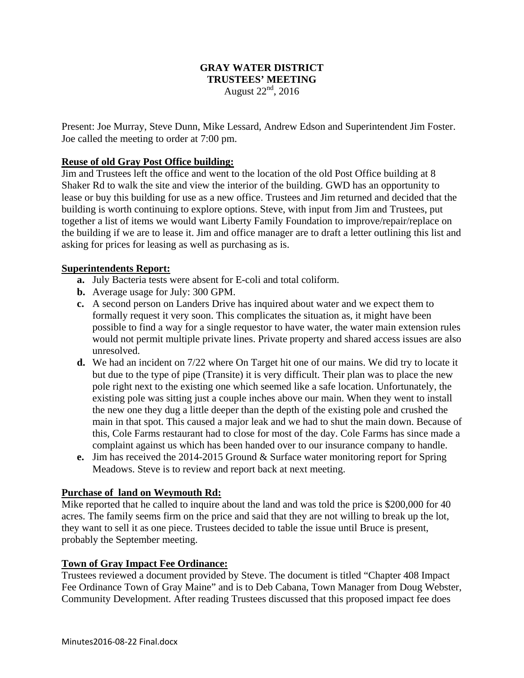### **GRAY WATER DISTRICT TRUSTEES' MEETING**  August  $22<sup>nd</sup>$ , 2016

Present: Joe Murray, Steve Dunn, Mike Lessard, Andrew Edson and Superintendent Jim Foster. Joe called the meeting to order at 7:00 pm.

### **Reuse of old Gray Post Office building:**

Jim and Trustees left the office and went to the location of the old Post Office building at 8 Shaker Rd to walk the site and view the interior of the building. GWD has an opportunity to lease or buy this building for use as a new office. Trustees and Jim returned and decided that the building is worth continuing to explore options. Steve, with input from Jim and Trustees, put together a list of items we would want Liberty Family Foundation to improve/repair/replace on the building if we are to lease it. Jim and office manager are to draft a letter outlining this list and asking for prices for leasing as well as purchasing as is.

#### **Superintendents Report:**

- **a.** July Bacteria tests were absent for E-coli and total coliform.
- **b.** Average usage for July: 300 GPM.
- **c.** A second person on Landers Drive has inquired about water and we expect them to formally request it very soon. This complicates the situation as, it might have been possible to find a way for a single requestor to have water, the water main extension rules would not permit multiple private lines. Private property and shared access issues are also unresolved.
- **d.** We had an incident on 7/22 where On Target hit one of our mains. We did try to locate it but due to the type of pipe (Transite) it is very difficult. Their plan was to place the new pole right next to the existing one which seemed like a safe location. Unfortunately, the existing pole was sitting just a couple inches above our main. When they went to install the new one they dug a little deeper than the depth of the existing pole and crushed the main in that spot. This caused a major leak and we had to shut the main down. Because of this, Cole Farms restaurant had to close for most of the day. Cole Farms has since made a complaint against us which has been handed over to our insurance company to handle.
- **e.** Jim has received the 2014-2015 Ground & Surface water monitoring report for Spring Meadows. Steve is to review and report back at next meeting.

#### **Purchase of land on Weymouth Rd:**

Mike reported that he called to inquire about the land and was told the price is \$200,000 for 40 acres. The family seems firm on the price and said that they are not willing to break up the lot, they want to sell it as one piece. Trustees decided to table the issue until Bruce is present, probably the September meeting.

#### **Town of Gray Impact Fee Ordinance:**

Trustees reviewed a document provided by Steve. The document is titled "Chapter 408 Impact Fee Ordinance Town of Gray Maine" and is to Deb Cabana, Town Manager from Doug Webster, Community Development. After reading Trustees discussed that this proposed impact fee does